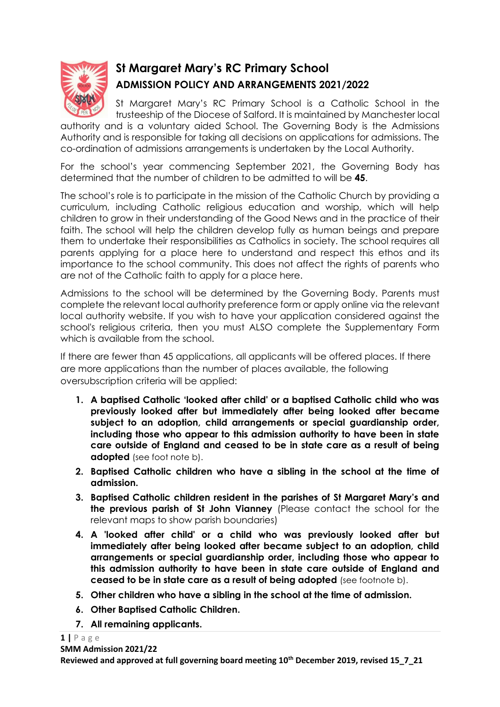

## **St Margaret Mary's RC Primary School ADMISSION POLICY AND ARRANGEMENTS 2021/2022**

St Margaret Mary's RC Primary School is a Catholic School in the trusteeship of the Diocese of Salford. It is maintained by Manchester local

authority and is a voluntary aided School. The Governing Body is the Admissions Authority and is responsible for taking all decisions on applications for admissions. The co-ordination of admissions arrangements is undertaken by the Local Authority.

For the school's year commencing September 2021, the Governing Body has determined that the number of children to be admitted to will be **45**.

The school's role is to participate in the mission of the Catholic Church by providing a curriculum, including Catholic religious education and worship, which will help children to grow in their understanding of the Good News and in the practice of their faith. The school will help the children develop fully as human beings and prepare them to undertake their responsibilities as Catholics in society. The school requires all parents applying for a place here to understand and respect this ethos and its importance to the school community. This does not affect the rights of parents who are not of the Catholic faith to apply for a place here.

Admissions to the school will be determined by the Governing Body. Parents must complete the relevant local authority preference form or apply online via the relevant local authority website. If you wish to have your application considered against the school's religious criteria, then you must ALSO complete the Supplementary Form which is available from the school.

If there are fewer than 45 applications, all applicants will be offered places. If there are more applications than the number of places available, the following oversubscription criteria will be applied:

- **1. A baptised Catholic 'looked after child' or a baptised Catholic child who was previously looked after but immediately after being looked after became subject to an adoption, child arrangements or special guardianship order, including those who appear to this admission authority to have been in state care outside of England and ceased to be in state care as a result of being adopted** (see foot note b).
- **2. Baptised Catholic children who have a sibling in the school at the time of admission.**
- **3. Baptised Catholic children resident in the parishes of St Margaret Mary's and the previous parish of St John Vianney** (Please contact the school for the relevant maps to show parish boundaries)
- **4. A 'looked after child' or a child who was previously looked after but immediately after being looked after became subject to an adoption, child arrangements or special guardianship order, including those who appear to this admission authority to have been in state care outside of England and ceased to be in state care as a result of being adopted** (see footnote b).
- **5. Other children who have a sibling in the school at the time of admission.**
- **6. Other Baptised Catholic Children.**
- **7. All remaining applicants.**

**1 |** P a g e

**Reviewed and approved at full governing board meeting 10 th December 2019, revised 15\_7\_21**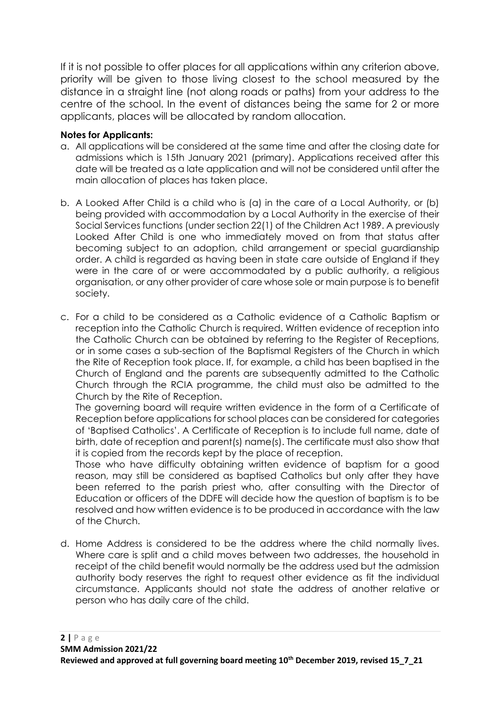If it is not possible to offer places for all applications within any criterion above, priority will be given to those living closest to the school measured by the distance in a straight line (not along roads or paths) from your address to the centre of the school. In the event of distances being the same for 2 or more applicants, places will be allocated by random allocation.

## **Notes for Applicants:**

- a. All applications will be considered at the same time and after the closing date for admissions which is 15th January 2021 (primary). Applications received after this date will be treated as a late application and will not be considered until after the main allocation of places has taken place.
- b. A Looked After Child is a child who is (a) in the care of a Local Authority, or (b) being provided with accommodation by a Local Authority in the exercise of their Social Services functions (under section 22(1) of the Children Act 1989. A previously Looked After Child is one who immediately moved on from that status after becoming subject to an adoption, child arrangement or special guardianship order. A child is regarded as having been in state care outside of England if they were in the care of or were accommodated by a public authority, a religious organisation, or any other provider of care whose sole or main purpose is to benefit society.
- c. For a child to be considered as a Catholic evidence of a Catholic Baptism or reception into the Catholic Church is required. Written evidence of reception into the Catholic Church can be obtained by referring to the Register of Receptions, or in some cases a sub-section of the Baptismal Registers of the Church in which the Rite of Reception took place. If, for example, a child has been baptised in the Church of England and the parents are subsequently admitted to the Catholic Church through the RCIA programme, the child must also be admitted to the Church by the Rite of Reception.

The governing board will require written evidence in the form of a Certificate of Reception before applications for school places can be considered for categories of 'Baptised Catholics'. A Certificate of Reception is to include full name, date of birth, date of reception and parent(s) name(s). The certificate must also show that it is copied from the records kept by the place of reception.

Those who have difficulty obtaining written evidence of baptism for a good reason, may still be considered as baptised Catholics but only after they have been referred to the parish priest who, after consulting with the Director of Education or officers of the DDFE will decide how the question of baptism is to be resolved and how written evidence is to be produced in accordance with the law of the Church.

d. Home Address is considered to be the address where the child normally lives. Where care is split and a child moves between two addresses, the household in receipt of the child benefit would normally be the address used but the admission authority body reserves the right to request other evidence as fit the individual circumstance. Applicants should not state the address of another relative or person who has daily care of the child.